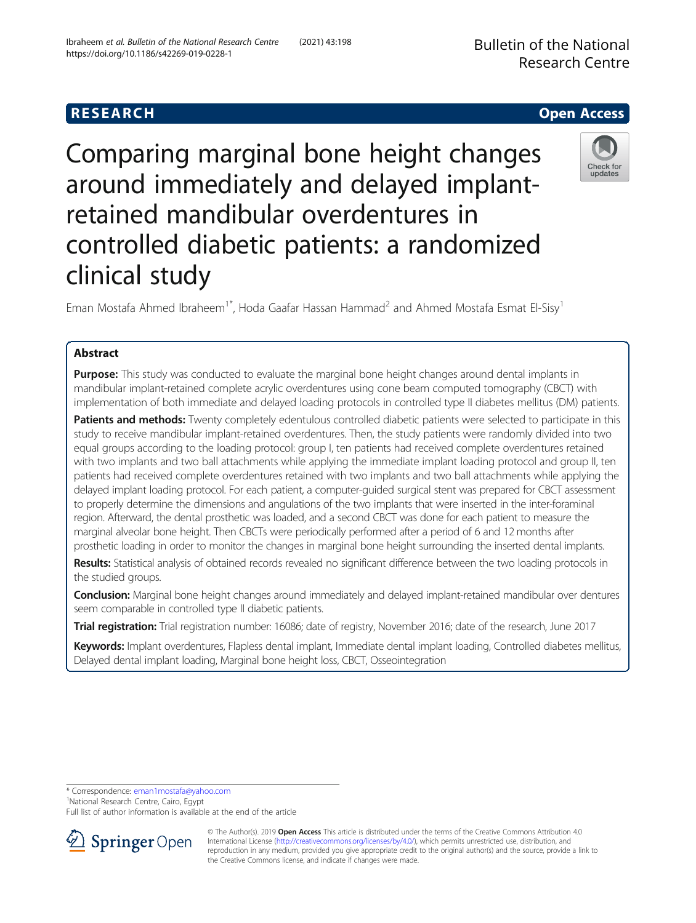Comparing marginal bone height changes around immediately and delayed implantretained mandibular overdentures in controlled diabetic patients: a randomized clinical study

Eman Mostafa Ahmed Ibraheem<sup>1\*</sup>, Hoda Gaafar Hassan Hammad<sup>2</sup> and Ahmed Mostafa Esmat El-Sisy<sup>1</sup>

# Abstract

**Purpose:** This study was conducted to evaluate the marginal bone height changes around dental implants in mandibular implant-retained complete acrylic overdentures using cone beam computed tomography (CBCT) with implementation of both immediate and delayed loading protocols in controlled type II diabetes mellitus (DM) patients.

Patients and methods: Twenty completely edentulous controlled diabetic patients were selected to participate in this study to receive mandibular implant-retained overdentures. Then, the study patients were randomly divided into two equal groups according to the loading protocol: group I, ten patients had received complete overdentures retained with two implants and two ball attachments while applying the immediate implant loading protocol and group II, ten patients had received complete overdentures retained with two implants and two ball attachments while applying the delayed implant loading protocol. For each patient, a computer-guided surgical stent was prepared for CBCT assessment to properly determine the dimensions and angulations of the two implants that were inserted in the inter-foraminal region. Afterward, the dental prosthetic was loaded, and a second CBCT was done for each patient to measure the marginal alveolar bone height. Then CBCTs were periodically performed after a period of 6 and 12 months after prosthetic loading in order to monitor the changes in marginal bone height surrounding the inserted dental implants.

Results: Statistical analysis of obtained records revealed no significant difference between the two loading protocols in the studied groups.

Conclusion: Marginal bone height changes around immediately and delayed implant-retained mandibular over dentures seem comparable in controlled type II diabetic patients.

Trial registration: Trial registration number: 16086; date of registry, November 2016; date of the research, June 2017

Keywords: Implant overdentures, Flapless dental implant, Immediate dental implant loading, Controlled diabetes mellitus, Delayed dental implant loading, Marginal bone height loss, CBCT, Osseointegration

\* Correspondence: [eman1mostafa@yahoo.com](mailto:eman1mostafa@yahoo.com) <sup>1</sup>

<sup>1</sup>National Research Centre, Cairo, Egypt

Full list of author information is available at the end of the article



<sup>©</sup> The Author(s). 2019 Open Access This article is distributed under the terms of the Creative Commons Attribution 4.0 International License ([http://creativecommons.org/licenses/by/4.0/\)](http://creativecommons.org/licenses/by/4.0/), which permits unrestricted use, distribution, and reproduction in any medium, provided you give appropriate credit to the original author(s) and the source, provide a link to the Creative Commons license, and indicate if changes were made.



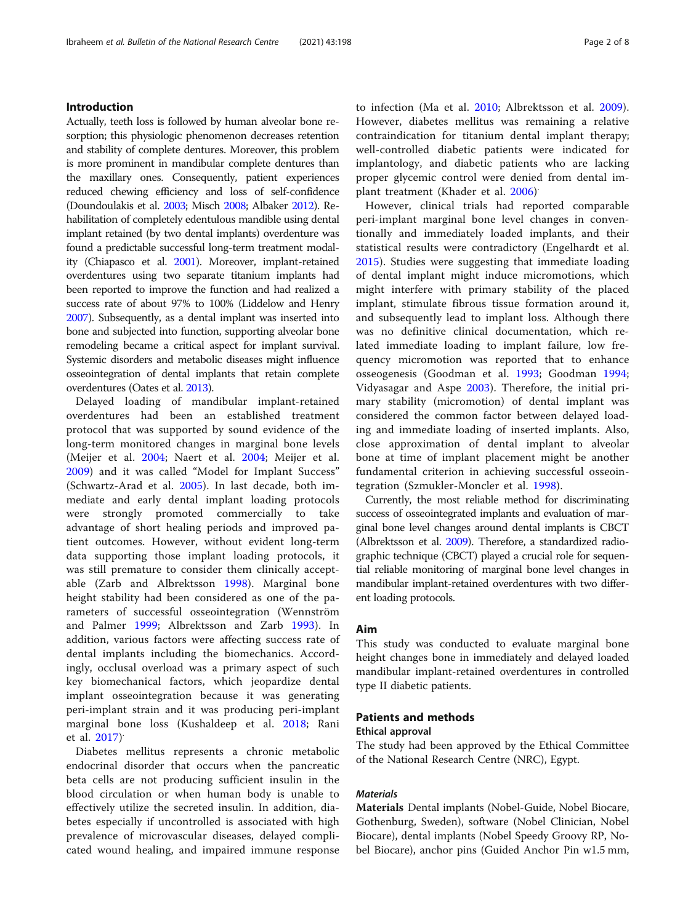## Introduction

Actually, teeth loss is followed by human alveolar bone resorption; this physiologic phenomenon decreases retention and stability of complete dentures. Moreover, this problem is more prominent in mandibular complete dentures than the maxillary ones. Consequently, patient experiences reduced chewing efficiency and loss of self-confidence (Doundoulakis et al. [2003;](#page-7-0) Misch [2008;](#page-7-0) Albaker [2012\)](#page-6-0). Rehabilitation of completely edentulous mandible using dental implant retained (by two dental implants) overdenture was found a predictable successful long-term treatment modality (Chiapasco et al. [2001\)](#page-6-0). Moreover, implant-retained overdentures using two separate titanium implants had been reported to improve the function and had realized a success rate of about 97% to 100% (Liddelow and Henry [2007\)](#page-7-0). Subsequently, as a dental implant was inserted into bone and subjected into function, supporting alveolar bone remodeling became a critical aspect for implant survival. Systemic disorders and metabolic diseases might influence osseointegration of dental implants that retain complete overdentures (Oates et al. [2013](#page-7-0)).

Delayed loading of mandibular implant-retained overdentures had been an established treatment protocol that was supported by sound evidence of the long-term monitored changes in marginal bone levels (Meijer et al. [2004](#page-7-0); Naert et al. [2004](#page-7-0); Meijer et al. [2009\)](#page-7-0) and it was called "Model for Implant Success" (Schwartz-Arad et al. [2005\)](#page-7-0). In last decade, both immediate and early dental implant loading protocols were strongly promoted commercially to take advantage of short healing periods and improved patient outcomes. However, without evident long-term data supporting those implant loading protocols, it was still premature to consider them clinically acceptable (Zarb and Albrektsson [1998](#page-7-0)). Marginal bone height stability had been considered as one of the parameters of successful osseointegration (Wennström and Palmer [1999;](#page-7-0) Albrektsson and Zarb [1993](#page-6-0)). In addition, various factors were affecting success rate of dental implants including the biomechanics. Accordingly, occlusal overload was a primary aspect of such key biomechanical factors, which jeopardize dental implant osseointegration because it was generating peri-implant strain and it was producing peri-implant marginal bone loss (Kushaldeep et al. [2018](#page-7-0); Rani et al. [2017\)](#page-7-0) .

Diabetes mellitus represents a chronic metabolic endocrinal disorder that occurs when the pancreatic beta cells are not producing sufficient insulin in the blood circulation or when human body is unable to effectively utilize the secreted insulin. In addition, diabetes especially if uncontrolled is associated with high prevalence of microvascular diseases, delayed complicated wound healing, and impaired immune response to infection (Ma et al. [2010](#page-7-0); Albrektsson et al. [2009](#page-6-0)). However, diabetes mellitus was remaining a relative contraindication for titanium dental implant therapy; well-controlled diabetic patients were indicated for implantology, and diabetic patients who are lacking proper glycemic control were denied from dental implant treatment (Khader et al. [2006\)](#page-7-0) .

However, clinical trials had reported comparable peri-implant marginal bone level changes in conventionally and immediately loaded implants, and their statistical results were contradictory (Engelhardt et al. [2015\)](#page-7-0). Studies were suggesting that immediate loading of dental implant might induce micromotions, which might interfere with primary stability of the placed implant, stimulate fibrous tissue formation around it, and subsequently lead to implant loss. Although there was no definitive clinical documentation, which related immediate loading to implant failure, low frequency micromotion was reported that to enhance osseogenesis (Goodman et al. [1993](#page-7-0); Goodman [1994](#page-7-0); Vidyasagar and Aspe [2003](#page-7-0)). Therefore, the initial primary stability (micromotion) of dental implant was considered the common factor between delayed loading and immediate loading of inserted implants. Also, close approximation of dental implant to alveolar bone at time of implant placement might be another fundamental criterion in achieving successful osseointegration (Szmukler-Moncler et al. [1998](#page-7-0)).

Currently, the most reliable method for discriminating success of osseointegrated implants and evaluation of marginal bone level changes around dental implants is CBCT (Albrektsson et al. [2009\)](#page-6-0). Therefore, a standardized radiographic technique (CBCT) played a crucial role for sequential reliable monitoring of marginal bone level changes in mandibular implant-retained overdentures with two different loading protocols.

#### Aim

This study was conducted to evaluate marginal bone height changes bone in immediately and delayed loaded mandibular implant-retained overdentures in controlled type II diabetic patients.

## Patients and methods

#### Ethical approval

The study had been approved by the Ethical Committee of the National Research Centre (NRC), Egypt.

# **Materials**

Materials Dental implants (Nobel-Guide, Nobel Biocare, Gothenburg, Sweden), software (Nobel Clinician, Nobel Biocare), dental implants (Nobel Speedy Groovy RP, Nobel Biocare), anchor pins (Guided Anchor Pin w1.5 mm,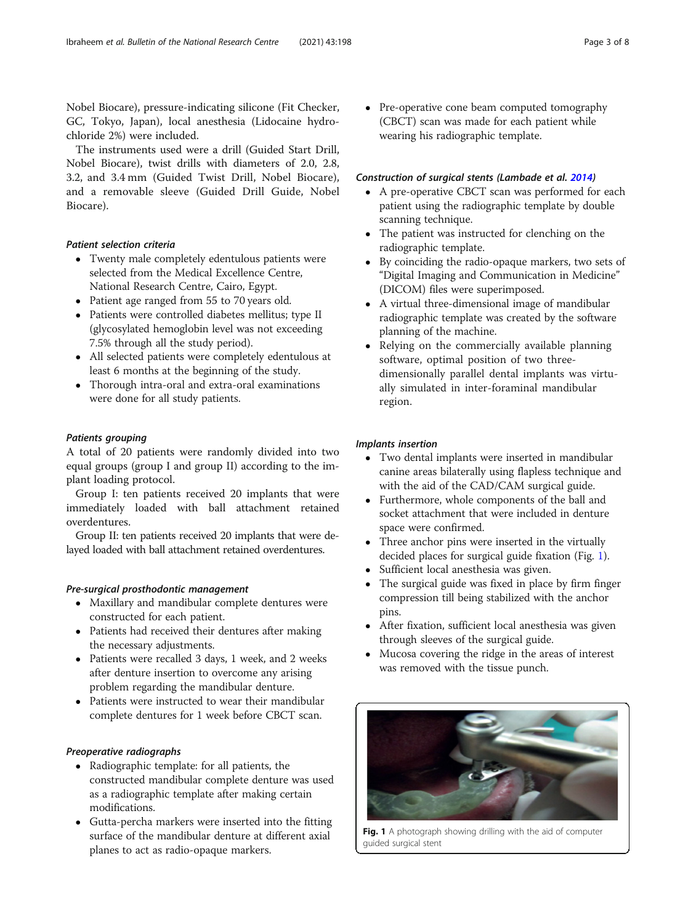Nobel Biocare), pressure-indicating silicone (Fit Checker, GC, Tokyo, Japan), local anesthesia (Lidocaine hydrochloride 2%) were included.

The instruments used were a drill (Guided Start Drill, Nobel Biocare), twist drills with diameters of 2.0, 2.8, 3.2, and 3.4 mm (Guided Twist Drill, Nobel Biocare), and a removable sleeve (Guided Drill Guide, Nobel Biocare).

## Patient selection criteria

- Twenty male completely edentulous patients were selected from the Medical Excellence Centre, National Research Centre, Cairo, Egypt.
- Patient age ranged from 55 to 70 years old.
- Patients were controlled diabetes mellitus; type II (glycosylated hemoglobin level was not exceeding 7.5% through all the study period).
- All selected patients were completely edentulous at least 6 months at the beginning of the study.
- Thorough intra-oral and extra-oral examinations were done for all study patients.

## Patients grouping

A total of 20 patients were randomly divided into two equal groups (group I and group II) according to the implant loading protocol.

Group I: ten patients received 20 implants that were immediately loaded with ball attachment retained overdentures.

Group II: ten patients received 20 implants that were delayed loaded with ball attachment retained overdentures.

## Pre-surgical prosthodontic management

- Maxillary and mandibular complete dentures were constructed for each patient.
- Patients had received their dentures after making the necessary adjustments.
- Patients were recalled 3 days, 1 week, and 2 weeks after denture insertion to overcome any arising problem regarding the mandibular denture.
- Patients were instructed to wear their mandibular complete dentures for 1 week before CBCT scan.

## Preoperative radiographs

- Radiographic template: for all patients, the constructed mandibular complete denture was used as a radiographic template after making certain modifications.
- Gutta-percha markers were inserted into the fitting surface of the mandibular denture at different axial planes to act as radio-opaque markers.

• Pre-operative cone beam computed tomography (CBCT) scan was made for each patient while wearing his radiographic template.

## Construction of surgical stents (Lambade et al. [2014](#page-7-0))

- A pre-operative CBCT scan was performed for each patient using the radiographic template by double scanning technique.
- The patient was instructed for clenching on the radiographic template.
- By coinciding the radio-opaque markers, two sets of "Digital Imaging and Communication in Medicine" (DICOM) files were superimposed.
- A virtual three-dimensional image of mandibular radiographic template was created by the software planning of the machine.
- Relying on the commercially available planning software, optimal position of two threedimensionally parallel dental implants was virtually simulated in inter-foraminal mandibular region.

## Implants insertion

- Two dental implants were inserted in mandibular canine areas bilaterally using flapless technique and with the aid of the CAD/CAM surgical guide.
- Furthermore, whole components of the ball and socket attachment that were included in denture space were confirmed.
- Three anchor pins were inserted in the virtually decided places for surgical guide fixation (Fig. 1).
- Sufficient local anesthesia was given.
- The surgical guide was fixed in place by firm finger compression till being stabilized with the anchor pins.
- After fixation, sufficient local anesthesia was given through sleeves of the surgical guide.
- Mucosa covering the ridge in the areas of interest was removed with the tissue punch.



Fig. 1 A photograph showing drilling with the aid of computer guided surgical stent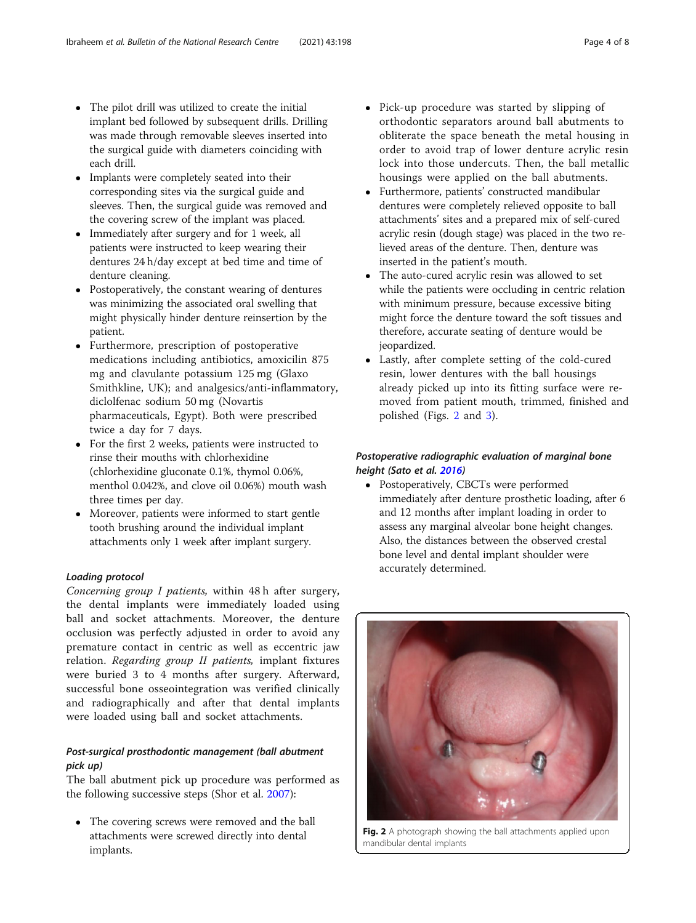- The pilot drill was utilized to create the initial implant bed followed by subsequent drills. Drilling was made through removable sleeves inserted into the surgical guide with diameters coinciding with each drill.
- Implants were completely seated into their corresponding sites via the surgical guide and sleeves. Then, the surgical guide was removed and the covering screw of the implant was placed.
- Immediately after surgery and for 1 week, all patients were instructed to keep wearing their dentures 24 h/day except at bed time and time of denture cleaning.
- Postoperatively, the constant wearing of dentures was minimizing the associated oral swelling that might physically hinder denture reinsertion by the patient.
- Furthermore, prescription of postoperative medications including antibiotics, amoxicilin 875 mg and clavulante potassium 125 mg (Glaxo Smithkline, UK); and analgesics/anti-inflammatory, diclolfenac sodium 50 mg (Novartis pharmaceuticals, Egypt). Both were prescribed twice a day for 7 days.
- For the first 2 weeks, patients were instructed to rinse their mouths with chlorhexidine (chlorhexidine gluconate 0.1%, thymol 0.06%, menthol 0.042%, and clove oil 0.06%) mouth wash three times per day.
- Moreover, patients were informed to start gentle tooth brushing around the individual implant attachments only 1 week after implant surgery.

## Loading protocol

Concerning group I patients, within 48 h after surgery, the dental implants were immediately loaded using ball and socket attachments. Moreover, the denture occlusion was perfectly adjusted in order to avoid any premature contact in centric as well as eccentric jaw relation. Regarding group II patients, implant fixtures were buried 3 to 4 months after surgery. Afterward, successful bone osseointegration was verified clinically and radiographically and after that dental implants were loaded using ball and socket attachments.

# Post-surgical prosthodontic management (ball abutment pick up)

The ball abutment pick up procedure was performed as the following successive steps (Shor et al. [2007](#page-7-0)):

• The covering screws were removed and the ball attachments were screwed directly into dental implants.

- Pick-up procedure was started by slipping of orthodontic separators around ball abutments to obliterate the space beneath the metal housing in order to avoid trap of lower denture acrylic resin lock into those undercuts. Then, the ball metallic housings were applied on the ball abutments.
- Furthermore, patients' constructed mandibular dentures were completely relieved opposite to ball attachments' sites and a prepared mix of self-cured acrylic resin (dough stage) was placed in the two relieved areas of the denture. Then, denture was inserted in the patient's mouth.
- The auto-cured acrylic resin was allowed to set while the patients were occluding in centric relation with minimum pressure, because excessive biting might force the denture toward the soft tissues and therefore, accurate seating of denture would be jeopardized.
- Lastly, after complete setting of the cold-cured resin, lower dentures with the ball housings already picked up into its fitting surface were removed from patient mouth, trimmed, finished and polished (Figs. 2 and [3\)](#page-4-0).

# Postoperative radiographic evaluation of marginal bone height (Sato et al. [2016\)](#page-7-0)

 Postoperatively, CBCTs were performed immediately after denture prosthetic loading, after 6 and 12 months after implant loading in order to assess any marginal alveolar bone height changes. Also, the distances between the observed crestal bone level and dental implant shoulder were accurately determined.



Fig. 2 A photograph showing the ball attachments applied upon mandibular dental implants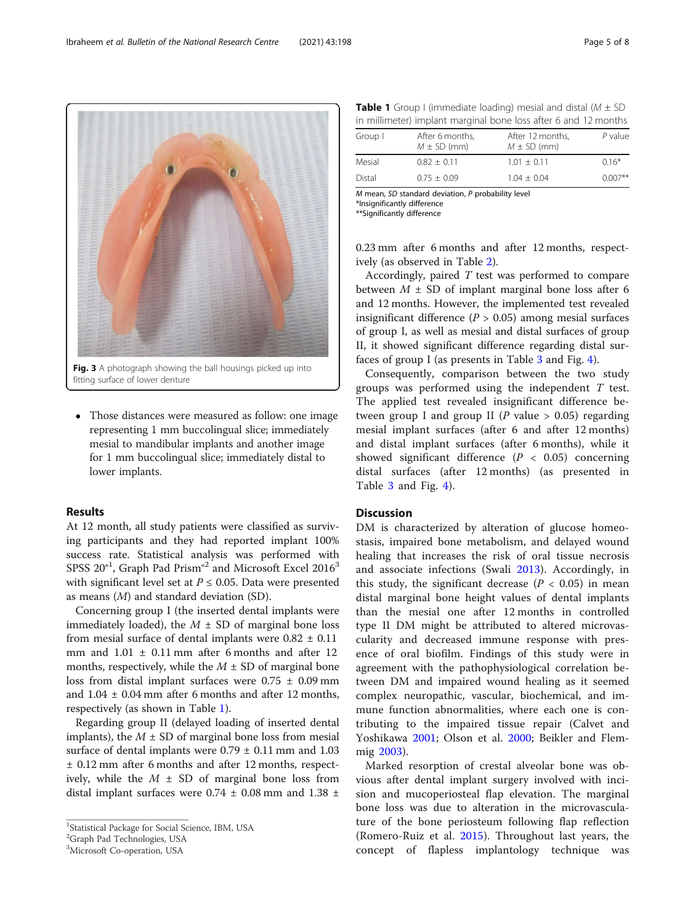fitting surface of lower denture

 Those distances were measured as follow: one image representing 1 mm buccolingual slice; immediately mesial to mandibular implants and another image for 1 mm buccolingual slice; immediately distal to lower implants.

## Results

At 12 month, all study patients were classified as surviving participants and they had reported implant 100% success rate. Statistical analysis was performed with SPSS  $20<sup>°1</sup>$ , Graph Pad Prism $<sup>°2</sup>$  and Microsoft Excel  $2016<sup>3</sup>$ </sup> with significant level set at  $P \le 0.05$ . Data were presented as means (M) and standard deviation (SD).

Concerning group I (the inserted dental implants were immediately loaded), the  $M \pm SD$  of marginal bone loss from mesial surface of dental implants were  $0.82 \pm 0.11$ mm and  $1.01 \pm 0.11$  mm after 6 months and after 12 months, respectively, while the  $M \pm SD$  of marginal bone loss from distal implant surfaces were  $0.75 \pm 0.09$  mm and  $1.04 \pm 0.04$  mm after 6 months and after 12 months, respectively (as shown in Table 1).

Regarding group II (delayed loading of inserted dental implants), the  $M \pm SD$  of marginal bone loss from mesial surface of dental implants were  $0.79 \pm 0.11$  mm and  $1.03$ ± 0.12 mm after 6 months and after 12 months, respectively, while the  $M \pm SD$  of marginal bone loss from distal implant surfaces were  $0.74 \pm 0.08$  mm and  $1.38 \pm 0.08$ 

| in minimized; implant marginal bone 1033 area o and TE months |                                    |                                     |           |  |  |  |
|---------------------------------------------------------------|------------------------------------|-------------------------------------|-----------|--|--|--|
| Group I                                                       | After 6 months.<br>$M \pm SD$ (mm) | After 12 months,<br>$M \pm SD$ (mm) | $P$ value |  |  |  |
| Mesial                                                        | $0.82 + 0.11$                      | $1.01 + 0.11$                       | $0.16*$   |  |  |  |
| Distal                                                        | $0.75 + 0.09$                      | $1.04 + 0.04$                       | $0.007**$ |  |  |  |

M mean, SD standard deviation, P probability level \*Insignificantly difference

\*\*Significantly difference

0.23 mm after 6 months and after 12 months, respectively (as observed in Table [2](#page-5-0)).

Accordingly, paired T test was performed to compare between  $M \pm SD$  of implant marginal bone loss after 6 and 12 months. However, the implemented test revealed insignificant difference ( $P > 0.05$ ) among mesial surfaces of group I, as well as mesial and distal surfaces of group II, it showed significant difference regarding distal surfaces of group I (as presents in Table [3](#page-5-0) and Fig. [4\)](#page-6-0).

Consequently, comparison between the two study groups was performed using the independent  $T$  test. The applied test revealed insignificant difference between group I and group II (P value  $> 0.05$ ) regarding mesial implant surfaces (after 6 and after 12 months) and distal implant surfaces (after 6 months), while it showed significant difference  $(P < 0.05)$  concerning distal surfaces (after 12 months) (as presented in Table [3](#page-5-0) and Fig. [4](#page-6-0)).

## **Discussion**

DM is characterized by alteration of glucose homeostasis, impaired bone metabolism, and delayed wound healing that increases the risk of oral tissue necrosis and associate infections (Swali [2013](#page-7-0)). Accordingly, in this study, the significant decrease ( $P < 0.05$ ) in mean distal marginal bone height values of dental implants than the mesial one after 12 months in controlled type II DM might be attributed to altered microvascularity and decreased immune response with presence of oral biofilm. Findings of this study were in agreement with the pathophysiological correlation between DM and impaired wound healing as it seemed complex neuropathic, vascular, biochemical, and immune function abnormalities, where each one is contributing to the impaired tissue repair (Calvet and Yoshikawa [2001](#page-6-0); Olson et al. [2000;](#page-7-0) Beikler and Flemmig [2003](#page-6-0)).

Marked resorption of crestal alveolar bone was obvious after dental implant surgery involved with incision and mucoperiosteal flap elevation. The marginal bone loss was due to alteration in the microvasculature of the bone periosteum following flap reflection (Romero-Ruiz et al. [2015\)](#page-7-0). Throughout last years, the concept of flapless implantology technique was

<span id="page-4-0"></span>

<sup>&</sup>lt;sup>1</sup>Statistical Package for Social Science, IBM, USA

<sup>&</sup>lt;sup>2</sup>Graph Pad Technologies, USA

<sup>&</sup>lt;sup>3</sup>Microsoft Co-operation, USA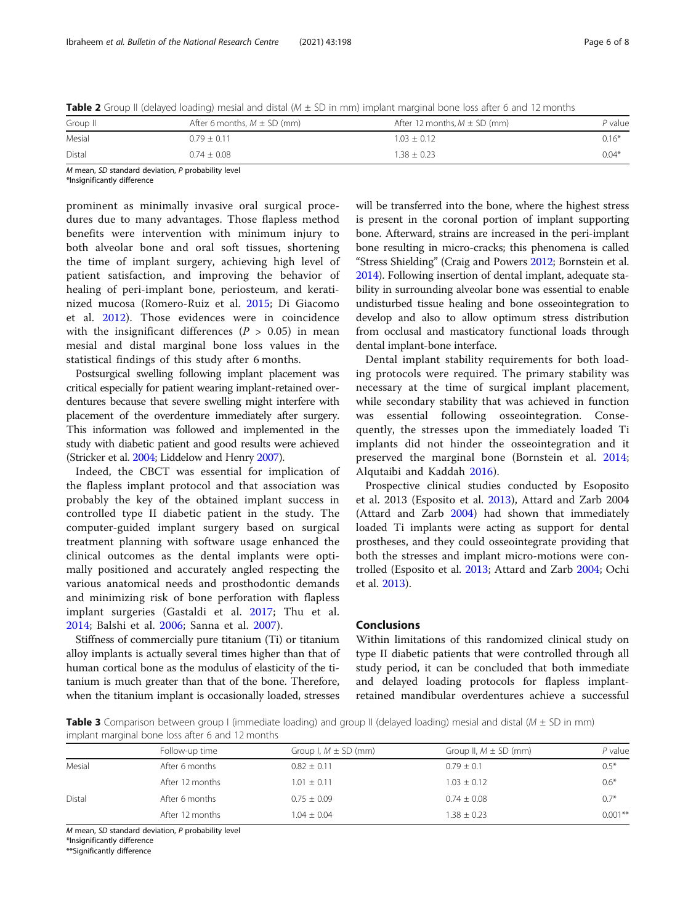<span id="page-5-0"></span>**Table 2** Group II (delayed loading) mesial and distal ( $M \pm SD$  in mm) implant marginal bone loss after 6 and 12 months

| Group II | After 6 months, $M \pm SD$ (mm) | After 12 months, $M \pm SD$ (mm) | P value |
|----------|---------------------------------|----------------------------------|---------|
| Mesial   | $0.79 + 0.11$                   | $1.03 + 0.12$                    | $0.16*$ |
| Distal   | $0.74 \pm 0.08$                 | $1.38 \pm 0.23$                  | $0.04*$ |

M mean, SD standard deviation, P probability level

\*Insignificantly difference

prominent as minimally invasive oral surgical procedures due to many advantages. Those flapless method benefits were intervention with minimum injury to both alveolar bone and oral soft tissues, shortening the time of implant surgery, achieving high level of patient satisfaction, and improving the behavior of healing of peri-implant bone, periosteum, and keratinized mucosa (Romero-Ruiz et al. [2015](#page-7-0); Di Giacomo et al. [2012\)](#page-6-0). Those evidences were in coincidence with the insignificant differences ( $P > 0.05$ ) in mean mesial and distal marginal bone loss values in the statistical findings of this study after 6 months.

Postsurgical swelling following implant placement was critical especially for patient wearing implant-retained overdentures because that severe swelling might interfere with placement of the overdenture immediately after surgery. This information was followed and implemented in the study with diabetic patient and good results were achieved (Stricker et al. [2004](#page-7-0); Liddelow and Henry [2007\)](#page-7-0).

Indeed, the CBCT was essential for implication of the flapless implant protocol and that association was probably the key of the obtained implant success in controlled type II diabetic patient in the study. The computer-guided implant surgery based on surgical treatment planning with software usage enhanced the clinical outcomes as the dental implants were optimally positioned and accurately angled respecting the various anatomical needs and prosthodontic demands and minimizing risk of bone perforation with flapless implant surgeries (Gastaldi et al. [2017;](#page-7-0) Thu et al. [2014;](#page-7-0) Balshi et al. [2006;](#page-6-0) Sanna et al. [2007\)](#page-7-0).

Stiffness of commercially pure titanium (Ti) or titanium alloy implants is actually several times higher than that of human cortical bone as the modulus of elasticity of the titanium is much greater than that of the bone. Therefore, when the titanium implant is occasionally loaded, stresses

will be transferred into the bone, where the highest stress is present in the coronal portion of implant supporting bone. Afterward, strains are increased in the peri-implant bone resulting in micro-cracks; this phenomena is called "Stress Shielding" (Craig and Powers [2012](#page-6-0); Bornstein et al. [2014\)](#page-6-0). Following insertion of dental implant, adequate stability in surrounding alveolar bone was essential to enable undisturbed tissue healing and bone osseointegration to develop and also to allow optimum stress distribution from occlusal and masticatory functional loads through dental implant-bone interface.

Dental implant stability requirements for both loading protocols were required. The primary stability was necessary at the time of surgical implant placement, while secondary stability that was achieved in function was essential following osseointegration. Consequently, the stresses upon the immediately loaded Ti implants did not hinder the osseointegration and it preserved the marginal bone (Bornstein et al. [2014](#page-6-0); Alqutaibi and Kaddah [2016](#page-6-0)).

Prospective clinical studies conducted by Esoposito et al. 2013 (Esposito et al. [2013](#page-7-0)), Attard and Zarb 2004 (Attard and Zarb [2004](#page-6-0)) had shown that immediately loaded Ti implants were acting as support for dental prostheses, and they could osseointegrate providing that both the stresses and implant micro-motions were controlled (Esposito et al. [2013;](#page-7-0) Attard and Zarb [2004](#page-6-0); Ochi et al. [2013\)](#page-7-0).

## Conclusions

Within limitations of this randomized clinical study on type II diabetic patients that were controlled through all study period, it can be concluded that both immediate and delayed loading protocols for flapless implantretained mandibular overdentures achieve a successful

**Table 3** Comparison between group I (immediate loading) and group II (delayed loading) mesial and distal ( $M \pm SD$  in mm) implant marginal bone loss after 6 and 12 months

|        | Follow-up time  | Group I, $M \pm SD$ (mm) | Group II, $M \pm SD$ (mm) | P value   |
|--------|-----------------|--------------------------|---------------------------|-----------|
| Mesial | After 6 months  | $0.82 \pm 0.11$          | $0.79 \pm 0.1$            | $0.5*$    |
|        | After 12 months | $1.01 \pm 0.11$          | $1.03 \pm 0.12$           | $0.6*$    |
| Distal | After 6 months  | $0.75 \pm 0.09$          | $0.74 \pm 0.08$           | $0.7*$    |
|        | After 12 months | $1.04 \pm 0.04$          | $1.38 \pm 0.23$           | $0.001**$ |

M mean, SD standard deviation, P probability level

\*Insignificantly difference

\*\*Significantly difference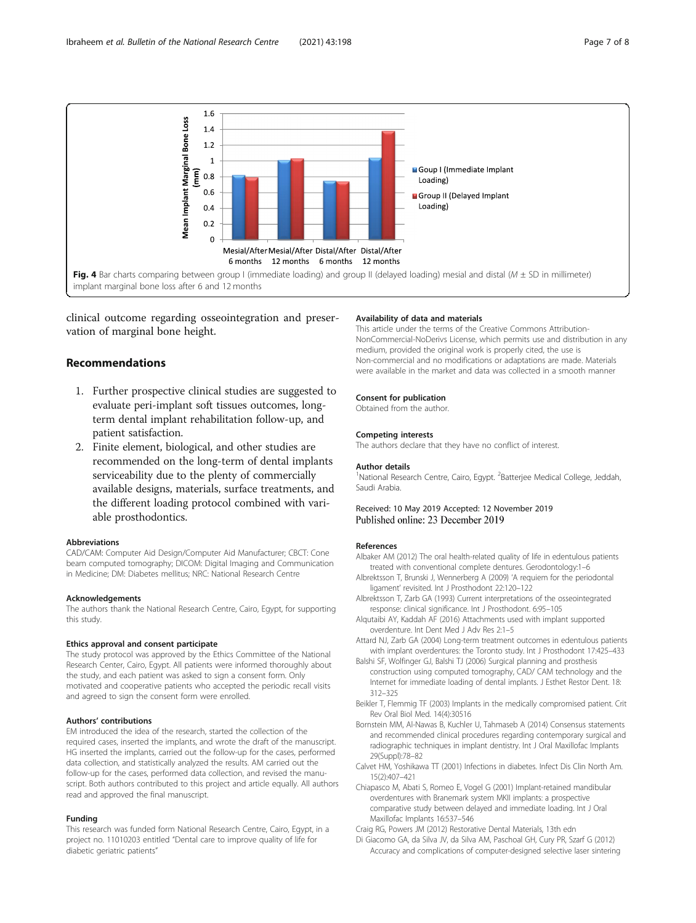<span id="page-6-0"></span>

clinical outcome regarding osseointegration and preservation of marginal bone height.

## Recommendations

- 1. Further prospective clinical studies are suggested to evaluate peri-implant soft tissues outcomes, longterm dental implant rehabilitation follow-up, and patient satisfaction.
- 2. Finite element, biological, and other studies are recommended on the long-term of dental implants serviceability due to the plenty of commercially available designs, materials, surface treatments, and the different loading protocol combined with variable prosthodontics.

#### Abbreviations

CAD/CAM: Computer Aid Design/Computer Aid Manufacturer; CBCT: Cone beam computed tomography; DICOM: Digital Imaging and Communication in Medicine; DM: Diabetes mellitus; NRC: National Research Centre

#### Acknowledgements

The authors thank the National Research Centre, Cairo, Egypt, for supporting this study.

#### Ethics approval and consent participate

The study protocol was approved by the Ethics Committee of the National Research Center, Cairo, Egypt. All patients were informed thoroughly about the study, and each patient was asked to sign a consent form. Only motivated and cooperative patients who accepted the periodic recall visits and agreed to sign the consent form were enrolled.

#### Authors' contributions

EM introduced the idea of the research, started the collection of the required cases, inserted the implants, and wrote the draft of the manuscript. HG inserted the implants, carried out the follow-up for the cases, performed data collection, and statistically analyzed the results. AM carried out the follow-up for the cases, performed data collection, and revised the manuscript. Both authors contributed to this project and article equally. All authors read and approved the final manuscript.

#### Funding

This research was funded form National Research Centre, Cairo, Egypt, in a project no. 11010203 entitled "Dental care to improve quality of life for diabetic geriatric patients"

#### Availability of data and materials

This article under the terms of the Creative Commons Attribution-NonCommercial-NoDerivs License, which permits use and distribution in any medium, provided the original work is properly cited, the use is Non-commercial and no modifications or adaptations are made. Materials were available in the market and data was collected in a smooth manner

#### Consent for publication

Obtained from the author.

#### Competing interests

The authors declare that they have no conflict of interest.

#### Author details

<sup>1</sup>National Research Centre, Cairo, Egypt. <sup>2</sup>Batterjee Medical College, Jeddah Saudi Arabia.

#### Received: 10 May 2019 Accepted: 12 November 2019 Published online: 23 December 2019

#### References

- Albaker AM (2012) The oral health-related quality of life in edentulous patients treated with conventional complete dentures. Gerodontology:1–6
- Albrektsson T, Brunski J, Wennerberg A (2009) 'A requiem for the periodontal ligament' revisited. Int J Prosthodont 22:120–122
- Albrektsson T, Zarb GA (1993) Current interpretations of the osseointegrated response: clinical significance. Int J Prosthodont. 6:95–105
- Alqutaibi AY, Kaddah AF (2016) Attachments used with implant supported overdenture. Int Dent Med J Adv Res 2:1–5
- Attard NJ, Zarb GA (2004) Long-term treatment outcomes in edentulous patients with implant overdentures: the Toronto study. Int J Prosthodont 17:425–433
- Balshi SF, Wolfinger GJ, Balshi TJ (2006) Surgical planning and prosthesis construction using computed tomography, CAD/ CAM technology and the Internet for immediate loading of dental implants. J Esthet Restor Dent. 18: 312–325
- Beikler T, Flemmig TF (2003) Implants in the medically compromised patient. Crit Rev Oral Biol Med. 14(4):30516
- Bornstein MM, Al-Nawas B, Kuchler U, Tahmaseb A (2014) Consensus statements and recommended clinical procedures regarding contemporary surgical and radiographic techniques in implant dentistry. Int J Oral Maxillofac Implants 29(Suppl):78–82
- Calvet HM, Yoshikawa TT (2001) Infections in diabetes. Infect Dis Clin North Am. 15(2):407–421
- Chiapasco M, Abati S, Romeo E, Vogel G (2001) Implant-retained mandibular overdentures with Branemark system MKII implants: a prospective comparative study between delayed and immediate loading. Int J Oral Maxillofac Implants 16:537–546

Craig RG, Powers JM (2012) Restorative Dental Materials, 13th edn

Di Giacomo GA, da Silva JV, da Silva AM, Paschoal GH, Cury PR, Szarf G (2012) Accuracy and complications of computer-designed selective laser sintering